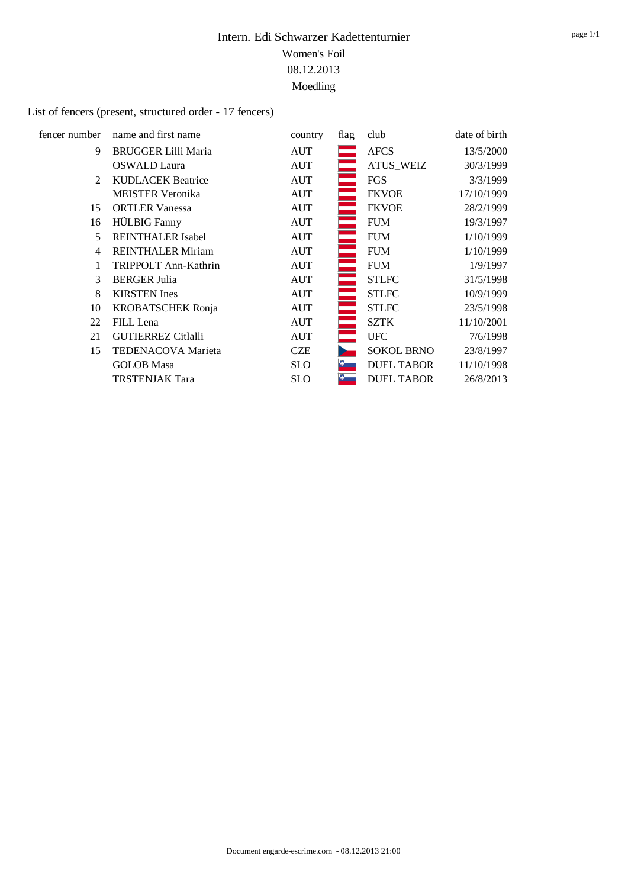# List of fencers (present, structured order - 17 fencers)

| fencer number               | name and first name        | country    | flag | club              | date of birth |
|-----------------------------|----------------------------|------------|------|-------------------|---------------|
| 9                           | <b>BRUGGER Lilli Maria</b> | <b>AUT</b> |      | <b>AFCS</b>       | 13/5/2000     |
|                             | <b>OSWALD Laura</b>        | AUT        |      | <b>ATUS WEIZ</b>  | 30/3/1999     |
| $\mathcal{D}_{\mathcal{L}}$ | <b>KUDLACEK Beatrice</b>   | AUT        |      | <b>FGS</b>        | 3/3/1999      |
|                             | <b>MEISTER Veronika</b>    | AUT        |      | <b>FKVOE</b>      | 17/10/1999    |
| 15                          | <b>ORTLER Vanessa</b>      | AUT        |      | <b>FKVOE</b>      | 28/2/1999     |
| 16                          | <b>HÜLBIG</b> Fanny        | <b>AUT</b> |      | <b>FUM</b>        | 19/3/1997     |
| 5                           | <b>REINTHALER Isabel</b>   | <b>AUT</b> |      | <b>FUM</b>        | 1/10/1999     |
| 4                           | <b>REINTHALER Miriam</b>   | AUT        |      | <b>FUM</b>        | 1/10/1999     |
|                             | TRIPPOLT Ann-Kathrin       | <b>AUT</b> | ÷    | <b>FUM</b>        | 1/9/1997      |
| 3                           | <b>BERGER Julia</b>        | AUT        | ═    | <b>STLFC</b>      | 31/5/1998     |
| 8                           | <b>KIRSTEN</b> Ines        | AUT        |      | <b>STLFC</b>      | 10/9/1999     |
| 10                          | <b>KROBATSCHEK Ronja</b>   | AUT        |      | <b>STLFC</b>      | 23/5/1998     |
| 22                          | FILL Lena                  | <b>AUT</b> |      | <b>SZTK</b>       | 11/10/2001    |
| 21                          | <b>GUTIERREZ Citlalli</b>  | <b>AUT</b> |      | <b>UFC</b>        | 7/6/1998      |
| 15                          | TEDENACOVA Marieta         | CZE        |      | <b>SOKOL BRNO</b> | 23/8/1997     |
|                             | <b>GOLOB</b> Masa          | <b>SLO</b> |      | <b>DUEL TABOR</b> | 11/10/1998    |
|                             | <b>TRSTENJAK Tara</b>      | <b>SLO</b> | Ю.   | <b>DUEL TABOR</b> | 26/8/2013     |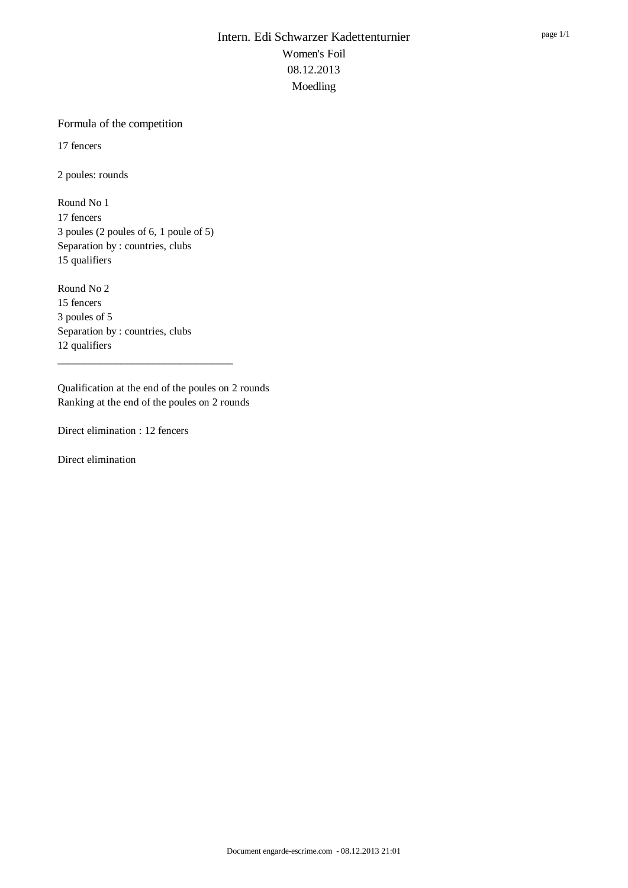#### Formula of the competition

17 fencers

2 poules: rounds

Round No 1 17 fencers 3 poules (2 poules of 6, 1 poule of 5) Separation by : countries, clubs 15 qualifiers

Round No 2 15 fencers 3 poules of 5 Separation by : countries, clubs 12 qualifiers

Qualification at the end of the poules on 2 rounds Ranking at the end of the poules on 2 rounds

\_\_\_\_\_\_\_\_\_\_\_\_\_\_\_\_\_\_\_\_\_\_\_\_\_\_\_\_\_\_\_\_\_

Direct elimination : 12 fencers

Direct elimination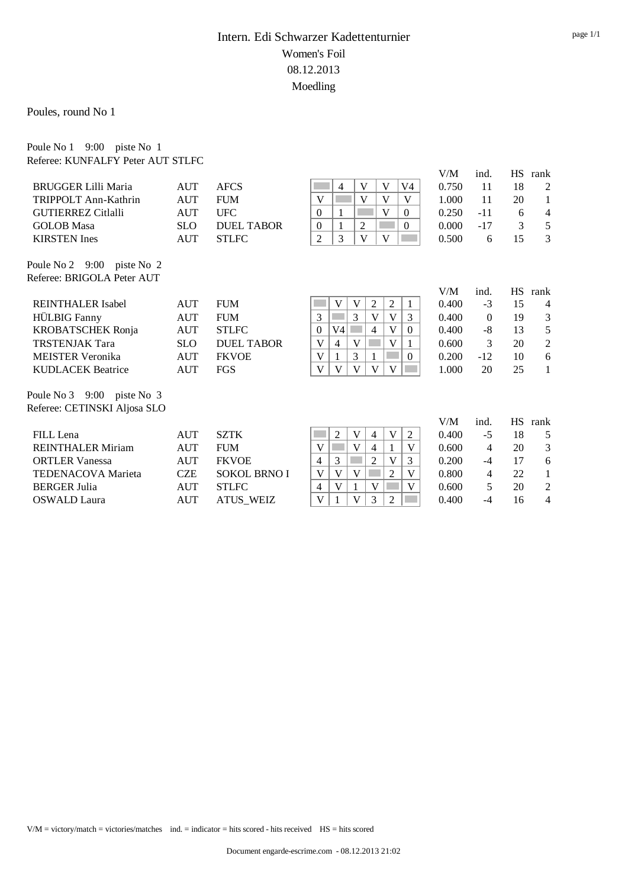Poules, round No 1

Poule No 1 9:00 piste No 1 Referee: KUNFALFY Peter AUT STLFC

|                              |            |                     |                |    |                |                |              |                | V/M   | ind.           | <b>HS</b> | rank           |
|------------------------------|------------|---------------------|----------------|----|----------------|----------------|--------------|----------------|-------|----------------|-----------|----------------|
| <b>BRUGGER Lilli Maria</b>   | AUT        | <b>AFCS</b>         |                | 4  | V              | V              |              | V <sub>4</sub> | 0.750 | 11             | 18        | 2              |
| TRIPPOLT Ann-Kathrin         | AUT        | <b>FUM</b>          | V              |    | V              | V              |              | V              | 1.000 | 11             | 20        | 1              |
| <b>GUTIERREZ Citlalli</b>    | <b>AUT</b> | <b>UFC</b>          | $\Omega$       | 1  |                | V              |              | $\overline{0}$ | 0.250 | $-11$          | 6         | 4              |
| <b>GOLOB</b> Masa            | <b>SLO</b> | <b>DUEL TABOR</b>   | $\overline{0}$ | 1  | $\overline{2}$ |                |              | 0              | 0.000 | $-17$          | 3         | 5              |
| <b>KIRSTEN</b> Ines          | <b>AUT</b> | <b>STLFC</b>        | $\overline{2}$ | 3  | V              | V              |              |                | 0.500 | 6              | 15        | 3              |
| Poule No 2 9:00 piste No 2   |            |                     |                |    |                |                |              |                |       |                |           |                |
| Referee: BRIGOLA Peter AUT   |            |                     |                |    |                |                |              |                |       |                |           |                |
|                              |            |                     |                |    |                |                |              |                | V/M   | ind.           | <b>HS</b> | rank           |
| <b>REINTHALER</b> Isabel     | AUT        | <b>FUM</b>          |                | V  | V              | $\overline{2}$ | 2            | 1              | 0.400 | $-3$           | 15        | $\overline{4}$ |
| <b>HÜLBIG</b> Fanny          | <b>AUT</b> | <b>FUM</b>          | 3              |    | 3              | V              | $\mathbf{V}$ | 3              | 0.400 | $\Omega$       | 19        | 3              |
| <b>KROBATSCHEK Ronja</b>     | <b>AUT</b> | <b>STLFC</b>        | $\Omega$       | V4 |                | 4              | V            | $\Omega$       | 0.400 | $-8$           | 13        | 5              |
| <b>TRSTENJAK Tara</b>        | <b>SLO</b> | DUEL TABOR          | V              | 4  | V              |                | $\mathbf{V}$ |                | 0.600 | 3              | 20        | $\overline{2}$ |
| <b>MEISTER Veronika</b>      | <b>AUT</b> | <b>FKVOE</b>        | V              |    | 3              |                |              | $\overline{0}$ | 0.200 | $-12$          | 10        | 6              |
| <b>KUDLACEK Beatrice</b>     | <b>AUT</b> | FGS                 | V              | V  | V              | V              | V            |                | 1.000 | 20             | 25        | 1              |
| Poule No 3 9:00 piste No 3   |            |                     |                |    |                |                |              |                |       |                |           |                |
| Referee: CETINSKI Aljosa SLO |            |                     |                |    |                |                |              |                |       |                |           |                |
|                              |            |                     |                |    |                |                |              |                | V/M   | ind.           | <b>HS</b> | rank           |
| FILL Lena                    | AUT        | <b>SZTK</b>         |                | 2  | V              | $\overline{4}$ | V            | $\overline{2}$ | 0.400 | $-5$           | 18        | 5              |
| <b>REINTHALER Miriam</b>     | AUT        | <b>FUM</b>          | V              |    | V              | $\overline{4}$ |              | V              | 0.600 | $\overline{4}$ | 20        | 3              |
| <b>ORTLER Vanessa</b>        | <b>AUT</b> | <b>FKVOE</b>        | 4              | 3  |                | $\overline{2}$ | $\mathbf{V}$ | 3              | 0.200 | $-4$           | 17        | 6              |
| <b>TEDENACOVA Marieta</b>    | <b>CZE</b> | <b>SOKOL BRNO I</b> | V              | V  | V              |                | 2            | V              | 0.800 | 4              | 22        | 1              |
| <b>BERGER Julia</b>          | <b>AUT</b> | <b>STLFC</b>        | 4              | V  |                | V              |              | V              | 0.600 | 5              | 20        | 2              |
| <b>OSWALD</b> Laura          | <b>AUT</b> | <b>ATUS WEIZ</b>    | V              |    | V              | 3              | 2            |                | 0.400 | $-4$           | 16        | 4              |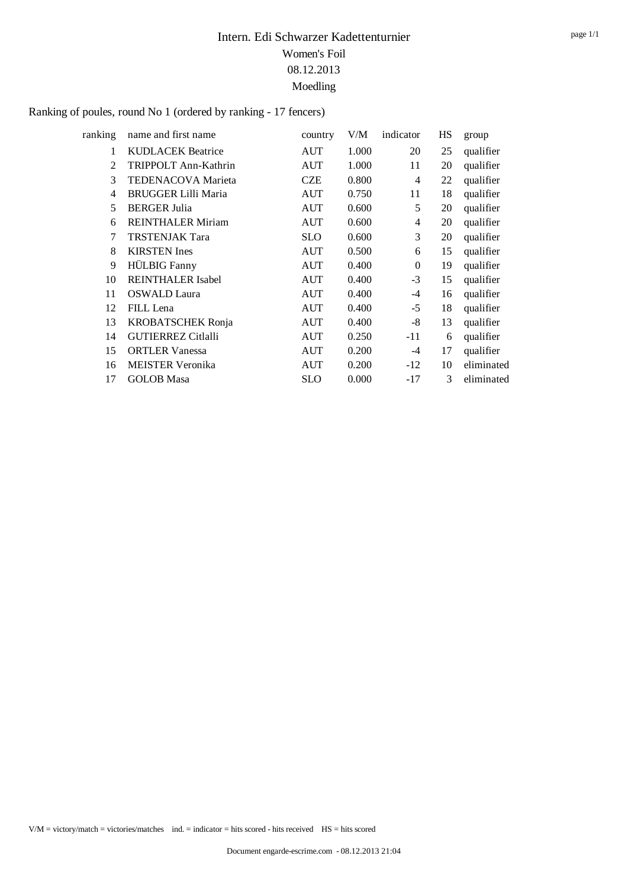#### Ranking of poules, round No 1 (ordered by ranking - 17 fencers)

| ranking       | name and first name        | country    | V/M   | indicator      | HS | group      |
|---------------|----------------------------|------------|-------|----------------|----|------------|
| 1             | <b>KUDLACEK Beatrice</b>   | <b>AUT</b> | 1.000 | 20             | 25 | qualifier  |
| $\mathcal{L}$ | TRIPPOLT Ann-Kathrin       | <b>AUT</b> | 1.000 | 11             | 20 | qualifier  |
| 3             | <b>TEDENACOVA Marieta</b>  | <b>CZE</b> | 0.800 | $\overline{4}$ | 22 | qualifier  |
| 4             | <b>BRUGGER Lilli Maria</b> | AUT        | 0.750 | 11             | 18 | qualifier  |
| 5             | <b>BERGER Julia</b>        | <b>AUT</b> | 0.600 | 5              | 20 | qualifier  |
| 6             | <b>REINTHALER Miriam</b>   | <b>AUT</b> | 0.600 | 4              | 20 | qualifier  |
| 7             | <b>TRSTENJAK Tara</b>      | <b>SLO</b> | 0.600 | 3              | 20 | qualifier  |
| 8             | <b>KIRSTEN</b> Ines        | <b>AUT</b> | 0.500 | 6              | 15 | qualifier  |
| 9             | <b>HÜLBIG</b> Fanny        | <b>AUT</b> | 0.400 | $\theta$       | 19 | qualifier  |
| 10            | <b>REINTHALER Isabel</b>   | <b>AUT</b> | 0.400 | $-3$           | 15 | qualifier  |
| 11            | <b>OSWALD Laura</b>        | <b>AUT</b> | 0.400 | -4             | 16 | qualifier  |
| 12            | FILL Lena                  | AUT        | 0.400 | $-5$           | 18 | qualifier  |
| 13            | <b>KROBATSCHEK Ronja</b>   | <b>AUT</b> | 0.400 | $-8$           | 13 | qualifier  |
| 14            | <b>GUTIERREZ Citlalli</b>  | <b>AUT</b> | 0.250 | $-11$          | 6  | qualifier  |
| 15            | <b>ORTLER Vanessa</b>      | <b>AUT</b> | 0.200 | $-4$           | 17 | qualifier  |
| 16            | <b>MEISTER Veronika</b>    | <b>AUT</b> | 0.200 | $-12$          | 10 | eliminated |
| 17            | <b>GOLOB</b> Masa          | <b>SLO</b> | 0.000 | $-17$          | 3  | eliminated |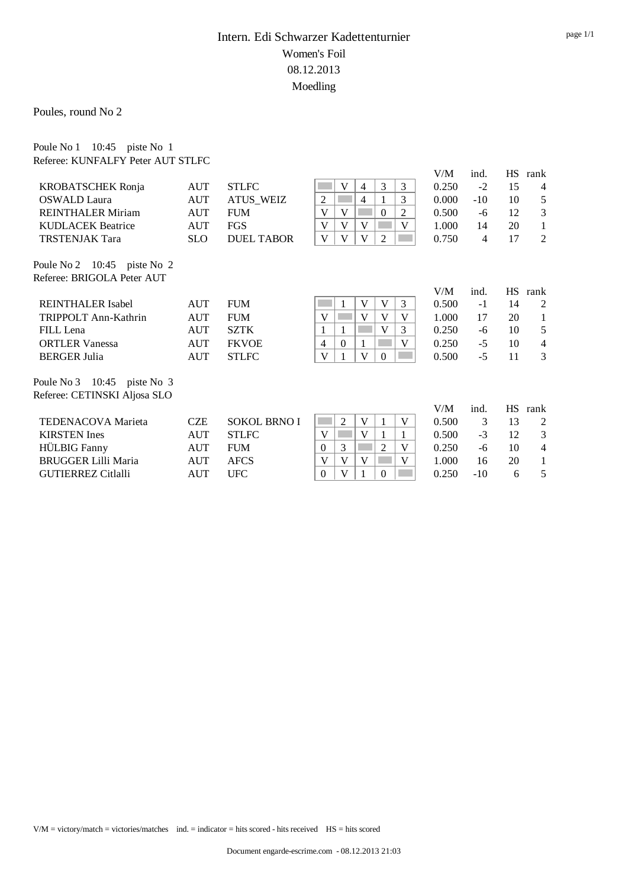Poules, round No 2

Poule No 1 10:45 piste No 1

| Referee: KUNFALFY Peter AUT STLFC     |            |                     |                                                     |       |       |           |                |
|---------------------------------------|------------|---------------------|-----------------------------------------------------|-------|-------|-----------|----------------|
|                                       |            |                     |                                                     | V/M   | ind.  | <b>HS</b> | rank           |
| <b>KROBATSCHEK Ronja</b>              | <b>AUT</b> | <b>STLFC</b>        | 3<br>V<br>3<br>4                                    | 0.250 | $-2$  | 15        | $\overline{4}$ |
| <b>OSWALD</b> Laura                   | <b>AUT</b> | <b>ATUS WEIZ</b>    | $\boldsymbol{2}$<br>3<br>4                          | 0.000 | $-10$ | 10        | 5              |
| <b>REINTHALER Miriam</b>              | <b>AUT</b> | <b>FUM</b>          | V<br>V<br>$\Omega$<br>2                             | 0.500 | -6    | 12        | 3              |
| <b>KUDLACEK Beatrice</b>              | <b>AUT</b> | FGS                 | V<br>V<br>V<br>V                                    | 1.000 | 14    | 20        | 1              |
| <b>TRSTENJAK Tara</b>                 | <b>SLO</b> | <b>DUEL TABOR</b>   | $\mathbf{V}$<br>V<br>$\mathbf{V}$<br>$\overline{2}$ | 0.750 | 4     | 17        | $\overline{2}$ |
| Poule No 2 $10:45$ piste No 2         |            |                     |                                                     |       |       |           |                |
| Referee: BRIGOLA Peter AUT            |            |                     |                                                     |       |       |           |                |
|                                       |            |                     |                                                     | V/M   | ind.  | <b>HS</b> | rank           |
| <b>REINTHALER</b> Isabel              | <b>AUT</b> | <b>FUM</b>          | V<br>V<br>3                                         | 0.500 | $-1$  | 14        | 2              |
| TRIPPOLT Ann-Kathrin                  | <b>AUT</b> | <b>FUM</b>          | V<br>V<br>V<br>V                                    | 1.000 | 17    | 20        | 1              |
| FILL Lena                             | <b>AUT</b> | <b>SZTK</b>         | V<br>1<br>3<br>1                                    | 0.250 | -6    | 10        | 5              |
| <b>ORTLER Vanessa</b>                 | AUT        | <b>FKVOE</b>        | V<br>$\overline{4}$<br>$\Omega$<br>1                | 0.250 | $-5$  | 10        | $\overline{4}$ |
| <b>BERGER Julia</b>                   | <b>AUT</b> | <b>STLFC</b>        | V<br>V<br>$\overline{0}$                            | 0.500 | $-5$  | 11        | 3              |
| Poule No $3 \quad 10:45$ piste No $3$ |            |                     |                                                     |       |       |           |                |
| Referee: CETINSKI Aljosa SLO          |            |                     |                                                     |       |       |           |                |
|                                       |            |                     |                                                     | V/M   | ind.  | <b>HS</b> | rank           |
| <b>TEDENACOVA Marieta</b>             | <b>CZE</b> | <b>SOKOL BRNO I</b> | 2<br>V<br>V                                         | 0.500 | 3     | 13        | $\overline{2}$ |
| <b>KIRSTEN</b> Ines                   | <b>AUT</b> | <b>STLFC</b>        | V<br>V<br>1<br>1                                    | 0.500 | $-3$  | 12        | 3              |
| <b>HÜLBIG</b> Fanny                   | <b>AUT</b> | <b>FUM</b>          | 3<br>2<br>V<br>$\Omega$                             | 0.250 | -6    | 10        | $\overline{4}$ |
| <b>BRUGGER Lilli Maria</b>            | <b>AUT</b> | <b>AFCS</b>         | V<br>V<br>V<br>V                                    | 1.000 | 16    | 20        | 1              |
| <b>GUTIERREZ Citlalli</b>             | <b>AUT</b> | <b>UFC</b>          | V<br>$\overline{0}$<br>1<br>$\theta$                | 0.250 | $-10$ | 6         | 5              |
|                                       |            |                     |                                                     |       |       |           |                |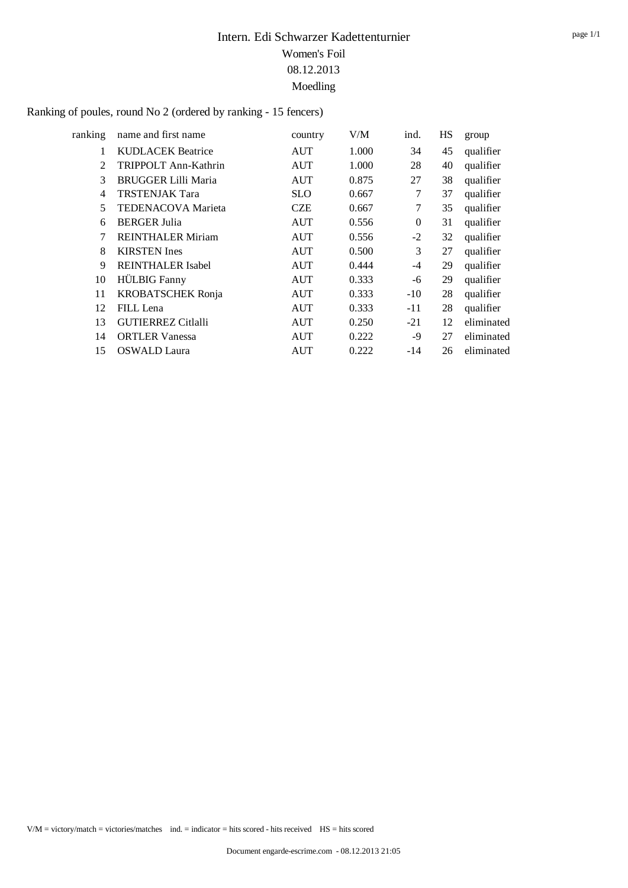#### Ranking of poules, round No 2 (ordered by ranking - 15 fencers)

| ranking        | name and first name        | country    | V/M   | ind.     | HS | group      |
|----------------|----------------------------|------------|-------|----------|----|------------|
| 1              | <b>KUDLACEK Beatrice</b>   | AUT        | 1.000 | 34       | 45 | qualifier  |
| $\overline{2}$ | TRIPPOLT Ann-Kathrin       | AUT        | 1.000 | 28       | 40 | qualifier  |
| 3              | <b>BRUGGER Lilli Maria</b> | AUT        | 0.875 | 27       | 38 | qualifier  |
| 4              | <b>TRSTENJAK Tara</b>      | <b>SLO</b> | 0.667 | 7        | 37 | qualifier  |
| 5              | <b>TEDENACOVA Marieta</b>  | <b>CZE</b> | 0.667 | 7        | 35 | qualifier  |
| 6              | <b>BERGER Julia</b>        | <b>AUT</b> | 0.556 | $\Omega$ | 31 | qualifier  |
| 7              | <b>REINTHALER Miriam</b>   | AUT        | 0.556 | $-2$     | 32 | qualifier  |
| 8              | <b>KIRSTEN</b> Ines        | AUT        | 0.500 | 3        | 27 | qualifier  |
| 9              | <b>REINTHALER Isabel</b>   | AUT        | 0.444 | $-4$     | 29 | qualifier  |
| 10             | <b>HÜLBIG</b> Fanny        | <b>AUT</b> | 0.333 | -6       | 29 | qualifier  |
| 11             | <b>KROBATSCHEK Ronja</b>   | AUT        | 0.333 | $-10$    | 28 | qualifier  |
| 12             | FILL Lena                  | AUT        | 0.333 | -11      | 28 | qualifier  |
| 13             | <b>GUTIERREZ Citlalli</b>  | <b>AUT</b> | 0.250 | $-21$    | 12 | eliminated |
| 14             | <b>ORTLER Vanessa</b>      | AUT        | 0.222 | -9       | 27 | eliminated |
| 15             | <b>OSWALD</b> Laura        | <b>AUT</b> | 0.222 | $-14$    | 26 | eliminated |
|                |                            |            |       |          |    |            |

page 1/1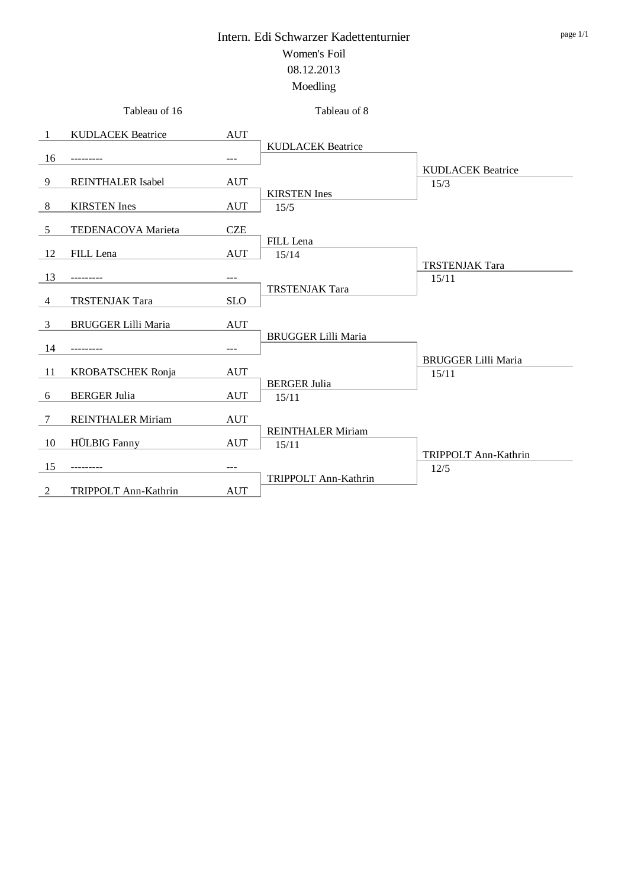|                | Tableau of 16              |            | Tableau of 8                      |                                     |
|----------------|----------------------------|------------|-----------------------------------|-------------------------------------|
| -1             | <b>KUDLACEK Beatrice</b>   | <b>AUT</b> |                                   |                                     |
| 16             |                            | ---        | <b>KUDLACEK Beatrice</b>          |                                     |
| 9              | <b>REINTHALER Isabel</b>   | <b>AUT</b> |                                   | <b>KUDLACEK Beatrice</b><br>15/3    |
| 8              | <b>KIRSTEN</b> Ines        | <b>AUT</b> | <b>KIRSTEN</b> Ines<br>15/5       |                                     |
| 5              | TEDENACOVA Marieta         | <b>CZE</b> |                                   |                                     |
| 12             | FILL Lena                  | <b>AUT</b> | FILL Lena<br>15/14                |                                     |
| 13             | --------                   | $---$      |                                   | <b>TRSTENJAK Tara</b><br>15/11      |
| $\overline{4}$ | <b>TRSTENJAK Tara</b>      | <b>SLO</b> | <b>TRSTENJAK Tara</b>             |                                     |
| 3              | <b>BRUGGER Lilli Maria</b> | <b>AUT</b> | <b>BRUGGER Lilli Maria</b>        |                                     |
| 14             |                            | $---$      |                                   |                                     |
| -11            | <b>KROBATSCHEK Ronja</b>   | <b>AUT</b> |                                   | <b>BRUGGER Lilli Maria</b><br>15/11 |
| 6              | <b>BERGER Julia</b>        | <b>AUT</b> | <b>BERGER Julia</b><br>15/11      |                                     |
| 7              | <b>REINTHALER Miriam</b>   | <b>AUT</b> |                                   |                                     |
| 10             | <b>HÜLBIG</b> Fanny        | <b>AUT</b> | <b>REINTHALER Miriam</b><br>15/11 |                                     |
| 15             |                            | $---$      |                                   | TRIPPOLT Ann-Kathrin<br>12/5        |
| 2              | TRIPPOLT Ann-Kathrin       | <b>AUT</b> | TRIPPOLT Ann-Kathrin              |                                     |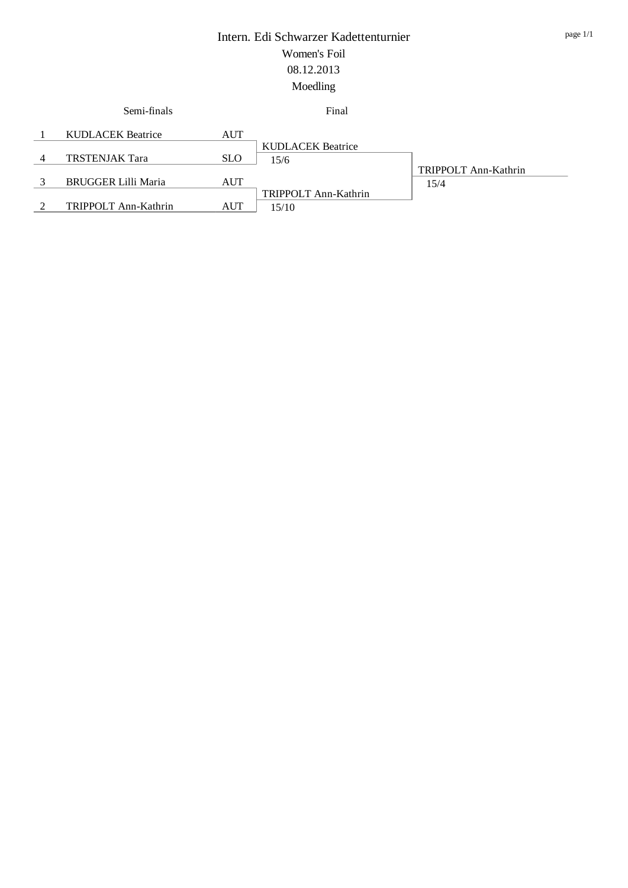| Semi-finals                |            | Final                    |                      |
|----------------------------|------------|--------------------------|----------------------|
| <b>KUDLACEK Beatrice</b>   | AUT        |                          |                      |
|                            |            | <b>KUDLACEK Beatrice</b> |                      |
| <b>TRSTENJAK Tara</b>      | <b>SLO</b> | 15/6                     |                      |
|                            |            |                          | TRIPPOLT Ann-Kathrin |
| <b>BRUGGER Lilli Maria</b> | AUT        |                          | 15/4                 |
|                            |            | TRIPPOLT Ann-Kathrin     |                      |
| TRIPPOLT Ann-Kathrin       | AUT        | 15/10                    |                      |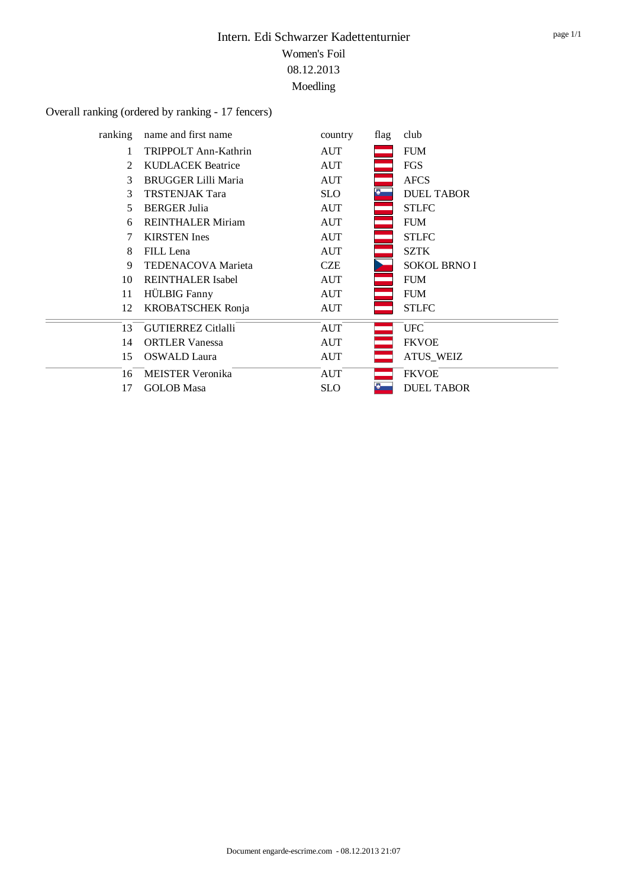# Overall ranking (ordered by ranking - 17 fencers)

 $\frac{1}{\sqrt{1-\frac{1}{2}}}$ 

| ranking | name and first name        | country    | flag | club                |
|---------|----------------------------|------------|------|---------------------|
| 1       | TRIPPOLT Ann-Kathrin       | <b>AUT</b> |      | <b>FUM</b>          |
| 2       | <b>KUDLACEK</b> Beatrice   | <b>AUT</b> |      | <b>FGS</b>          |
| 3       | <b>BRUGGER Lilli Maria</b> | <b>AUT</b> |      | <b>AFCS</b>         |
| 3       | <b>TRSTENJAK Tara</b>      | <b>SLO</b> |      | <b>DUEL TABOR</b>   |
| 5       | <b>BERGER Julia</b>        | AUT        |      | <b>STLFC</b>        |
| 6       | <b>REINTHALER Miriam</b>   | <b>AUT</b> |      | <b>FUM</b>          |
| 7       | <b>KIRSTEN</b> Ines        | AUT        |      | <b>STLFC</b>        |
| 8       | FILL Lena                  | AUT        |      | <b>SZTK</b>         |
| 9       | <b>TEDENACOVA Marieta</b>  | <b>CZE</b> |      | <b>SOKOL BRNO I</b> |
| 10      | <b>REINTHALER Isabel</b>   | AUT        |      | <b>FUM</b>          |
| 11      | <b>HÜLBIG</b> Fanny        | AUT        |      | <b>FUM</b>          |
| 12      | <b>KROBATSCHEK Ronja</b>   | AUT        |      | <b>STLFC</b>        |
| 13      | <b>GUTIERREZ Citlalli</b>  | <b>AUT</b> |      | <b>UFC</b>          |
| 14      | <b>ORTLER Vanessa</b>      | AUT        |      | <b>FKVOE</b>        |
| 15      | <b>OSWALD</b> Laura        | AUT        |      | <b>ATUS_WEIZ</b>    |
| 16      | <b>MEISTER Veronika</b>    | <b>AUT</b> |      | <b>FKVOE</b>        |
| 17      | <b>GOLOB</b> Masa          | <b>SLO</b> |      | <b>DUEL TABOR</b>   |